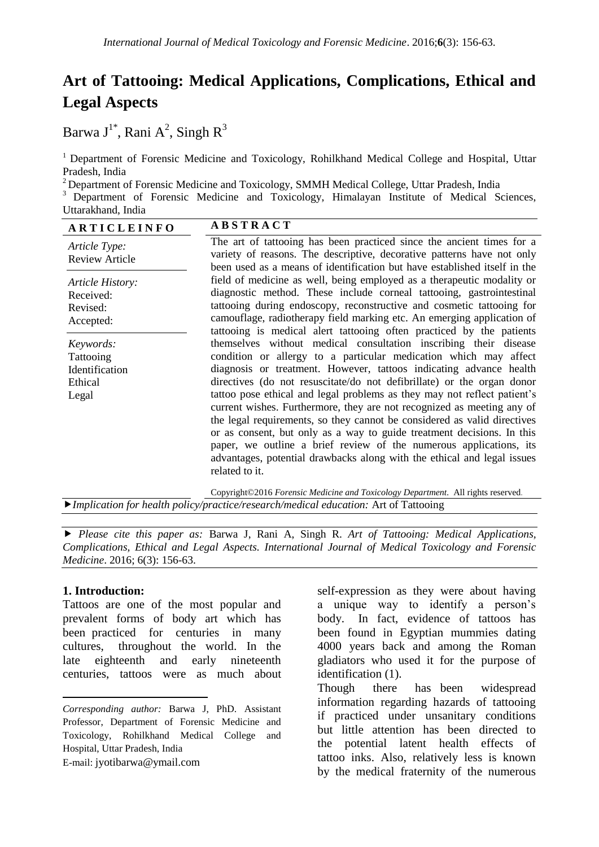# **Art of Tattooing: Medical Applications, Complications, Ethical and Legal Aspects**

Barwa J $^{1^*}$ , Rani A $^2$ , Singh R $^3$ 

<sup>1</sup> Department of Forensic Medicine and Toxicology, Rohilkhand Medical College and Hospital, Uttar Pradesh, India

<sup>2</sup> Department of Forensic Medicine and Toxicology, SMMH Medical College, Uttar Pradesh, India

<sup>3</sup> Department of Forensic Medicine and Toxicology, Himalayan Institute of Medical Sciences, Uttarakhand, India

| <b>ARTICLEINFO</b>                                           | <b>ABSTRACT</b>                                                                                                                                                                                                                                                                                                                                                                                                                                                                                                                                                                                                                                                                                                                                                                                                                                                                                                                                                                                                                                                                                                                                                                                                                                                                                                                                                                  |
|--------------------------------------------------------------|----------------------------------------------------------------------------------------------------------------------------------------------------------------------------------------------------------------------------------------------------------------------------------------------------------------------------------------------------------------------------------------------------------------------------------------------------------------------------------------------------------------------------------------------------------------------------------------------------------------------------------------------------------------------------------------------------------------------------------------------------------------------------------------------------------------------------------------------------------------------------------------------------------------------------------------------------------------------------------------------------------------------------------------------------------------------------------------------------------------------------------------------------------------------------------------------------------------------------------------------------------------------------------------------------------------------------------------------------------------------------------|
| Article Type:<br><b>Review Article</b>                       | The art of tattooing has been practiced since the ancient times for a<br>variety of reasons. The descriptive, decorative patterns have not only<br>been used as a means of identification but have established itself in the<br>field of medicine as well, being employed as a therapeutic modality or<br>diagnostic method. These include corneal tattooing, gastrointestinal<br>tattooing during endoscopy, reconstructive and cosmetic tattooing for<br>camouflage, radiotherapy field marking etc. An emerging application of<br>tattooing is medical alert tattooing often practiced by the patients<br>themselves without medical consultation inscribing their disease<br>condition or allergy to a particular medication which may affect<br>diagnosis or treatment. However, tattoos indicating advance health<br>directives (do not resuscitate/do not defibrillate) or the organ donor<br>tattoo pose ethical and legal problems as they may not reflect patient's<br>current wishes. Furthermore, they are not recognized as meeting any of<br>the legal requirements, so they cannot be considered as valid directives<br>or as consent, but only as a way to guide treatment decisions. In this<br>paper, we outline a brief review of the numerous applications, its<br>advantages, potential drawbacks along with the ethical and legal issues<br>related to it. |
| Article History:<br>Received:<br>Revised:<br>Accepted:       |                                                                                                                                                                                                                                                                                                                                                                                                                                                                                                                                                                                                                                                                                                                                                                                                                                                                                                                                                                                                                                                                                                                                                                                                                                                                                                                                                                                  |
| Keywords:<br>Tattooing<br>Identification<br>Ethical<br>Legal |                                                                                                                                                                                                                                                                                                                                                                                                                                                                                                                                                                                                                                                                                                                                                                                                                                                                                                                                                                                                                                                                                                                                                                                                                                                                                                                                                                                  |

Copyright©2016 *Forensic Medicine and Toxicology Department.* All rights reserved. *Implication for health policy/practice/research/medical education:* Art of Tattooing

 *Please cite this paper as:* Barwa J, Rani A, Singh R. *Art of Tattooing: Medical Applications, Complications, Ethical and Legal Aspects. International Journal of Medical Toxicology and Forensic Medicine*. 2016; 6(3): 156-63.

# **1. Introduction:\***

 $\overline{a}$ 

Tattoos are one of the most popular and prevalent forms of body art which has been practiced for centuries in many cultures, throughout the world. In the late eighteenth and early nineteenth centuries, tattoos were as much about

E-mail: jyotibarwa@ymail.com

self-expression as they were about having a unique way to identify a person's body. In fact, evidence of tattoos has been found in Egyptian mummies dating 4000 years back and among the Roman gladiators who used it for the purpose of identification (1).

Though there has been widespread information regarding hazards of tattooing if practiced under unsanitary conditions but little attention has been directed to the potential latent health effects of tattoo inks. Also, relatively less is known by the medical fraternity of the numerous

*Corresponding author:* Barwa J, PhD. Assistant Professor, Department of Forensic Medicine and Toxicology, Rohilkhand Medical College and Hospital, Uttar Pradesh, India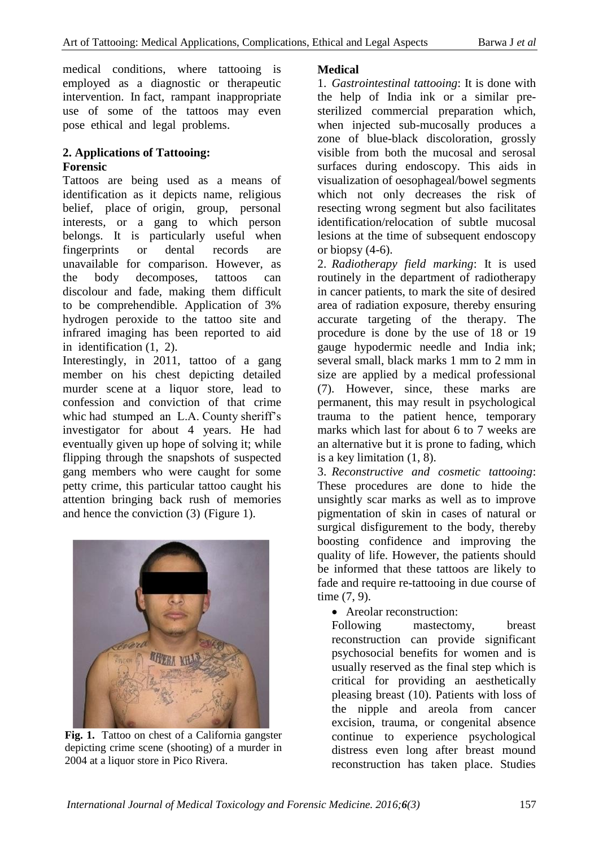medical conditions, where tattooing is employed as a diagnostic or therapeutic intervention. In fact, rampant inappropriate use of some of the tattoos may even pose ethical and legal problems.

# **2. Applications of Tattooing: Forensic**

Tattoos are being used as a means of identification as it depicts name, religious belief, place of origin, group, personal interests, or a gang to which person belongs. It is particularly useful when fingerprints or dental records are unavailable for comparison. However, as the body decomposes, tattoos can discolour and fade, making them difficult to be comprehendible. Application of 3% hydrogen peroxide to the tattoo site and infrared imaging has been reported to aid in identification (1, 2).

Interestingly, in 2011, tattoo of a gang member on his chest depicting detailed murder scene at a liquor store, lead to confession and conviction of that crime whic had stumped an L.A. County sheriff's investigator for about 4 years. He had eventually given up hope of solving it; while flipping through the snapshots of suspected gang members who were caught for some petty crime, this particular tattoo caught his attention bringing back rush of memories and hence the conviction (3) (Figure 1).



**Fig. 1.** Tattoo on chest of a California gangster depicting crime scene (shooting) of a murder in 2004 at a liquor store in Pico Rivera.

# **Medical**

1. *Gastrointestinal tattooing*: It is done with the help of India ink or a similar presterilized commercial preparation which, when injected sub-mucosally produces a zone of blue-black discoloration, grossly visible from both the mucosal and serosal surfaces during endoscopy. This aids in visualization of oesophageal/bowel segments which not only decreases the risk of resecting wrong segment but also facilitates identification/relocation of subtle mucosal lesions at the time of subsequent endoscopy or biopsy  $(4-6)$ .

2. *Radiotherapy field marking*: It is used routinely in the department of radiotherapy in cancer patients, to mark the site of desired area of radiation exposure, thereby ensuring accurate targeting of the therapy. The procedure is done by the use of 18 or 19 gauge hypodermic needle and India ink; several small, black marks 1 mm to 2 mm in size are applied by a medical professional (7). However, since, these marks are permanent, this may result in psychological trauma to the patient hence, temporary marks which last for about 6 to 7 weeks are an alternative but it is prone to fading, which is a key limitation (1, 8).

3. *Reconstructive and cosmetic tattooing*: These procedures are done to hide the unsightly scar marks as well as to improve pigmentation of skin in cases of natural or surgical disfigurement to the body, thereby boosting confidence and improving the quality of life. However, the patients should be informed that these tattoos are likely to fade and require re-tattooing in due course of time (7, 9).

Areolar reconstruction:

Following mastectomy, breast reconstruction can provide significant psychosocial benefits for women and is usually reserved as the final step which is critical for providing an aesthetically pleasing breast (10). Patients with loss of the nipple and areola from cancer excision, trauma, or congenital absence continue to experience psychological distress even long after breast mound reconstruction has taken place. Studies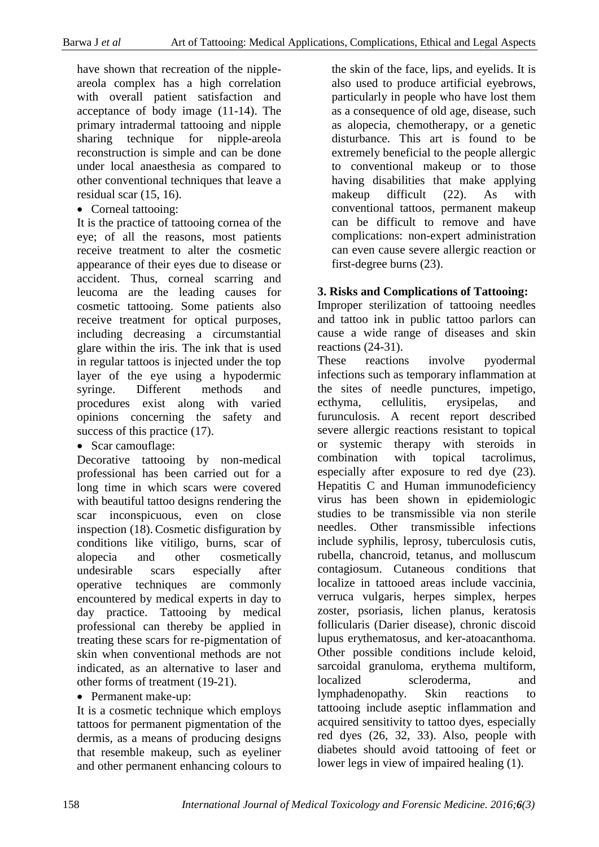have shown that recreation of the nippleareola complex has a high correlation with overall patient satisfaction and acceptance of body image (11-14). The primary intradermal tattooing and nipple sharing technique for nipple-areola reconstruction is simple and can be done under local anaesthesia as compared to other conventional techniques that leave a residual scar (15, 16).

• Corneal tattooing:

It is the practice of tattooing cornea of the eye; of all the reasons, most patients receive treatment to alter the cosmetic appearance of their eyes due to disease or accident. Thus, corneal scarring and leucoma are the leading causes for cosmetic tattooing. Some patients also receive treatment for optical purposes, including decreasing a circumstantial glare within the iris. The ink that is used in regular tattoos is injected under the top layer of the eye using a hypodermic syringe. Different methods and procedures exist along with varied opinions concerning the safety and success of this practice  $(17)$ .

• Scar camouflage:

Decorative tattooing by non-medical professional has been carried out for a long time in which scars were covered with beautiful tattoo designs rendering the scar inconspicuous, even on close inspection (18). Cosmetic disfiguration by conditions like vitiligo, burns, scar of alopecia and other cosmetically undesirable scars especially after operative techniques are commonly encountered by medical experts in day to day practice. Tattooing by medical professional can thereby be applied in treating these scars for re-pigmentation of skin when conventional methods are not indicated, as an alternative to laser and other forms of treatment (19-21).

• Permanent make-up:

It is a cosmetic technique which employs tattoos for permanent pigmentation of the dermis, as a means of producing designs that resemble makeup, such as eyeliner and other permanent enhancing colours to the skin of the face, lips, and eyelids. It is also used to produce artificial eyebrows, particularly in people who have lost them as a consequence of old age, disease, such as alopecia, chemotherapy, or a genetic disturbance. This art is found to be extremely beneficial to the people allergic to conventional makeup or to those having disabilities that make applying makeup difficult (22). As with conventional tattoos, permanent makeup can be difficult to remove and have complications: non-expert administration can even cause severe allergic reaction or first-degree burns (23).

# **3. Risks and Complications of Tattooing:**

Improper sterilization of tattooing needles and tattoo ink in public tattoo parlors can cause a wide range of diseases and skin reactions (24-31).

These reactions involve pyodermal infections such as temporary inflammation at the sites of needle punctures, impetigo, ecthyma, cellulitis, erysipelas, and furunculosis. A recent report described severe allergic reactions resistant to topical or systemic therapy with steroids in combination with topical tacrolimus, especially after exposure to red dye (23). Hepatitis C and Human immunodeficiency virus has been shown in epidemiologic studies to be transmissible via non sterile needles. Other transmissible infections include syphilis, leprosy, tuberculosis cutis, rubella, chancroid, tetanus, and molluscum contagiosum. Cutaneous conditions that localize in tattooed areas include vaccinia, verruca vulgaris, herpes simplex, herpes zoster, psoriasis, lichen planus, keratosis follicularis (Darier disease), chronic discoid lupus erythematosus, and ker-atoacanthoma. Other possible conditions include keloid, sarcoidal granuloma, erythema multiform, localized scleroderma, and lymphadenopathy. Skin reactions to tattooing include aseptic inflammation and acquired sensitivity to tattoo dyes, especially red dyes (26, 32, 33). Also, people with diabetes should avoid tattooing of feet or lower legs in view of impaired healing (1).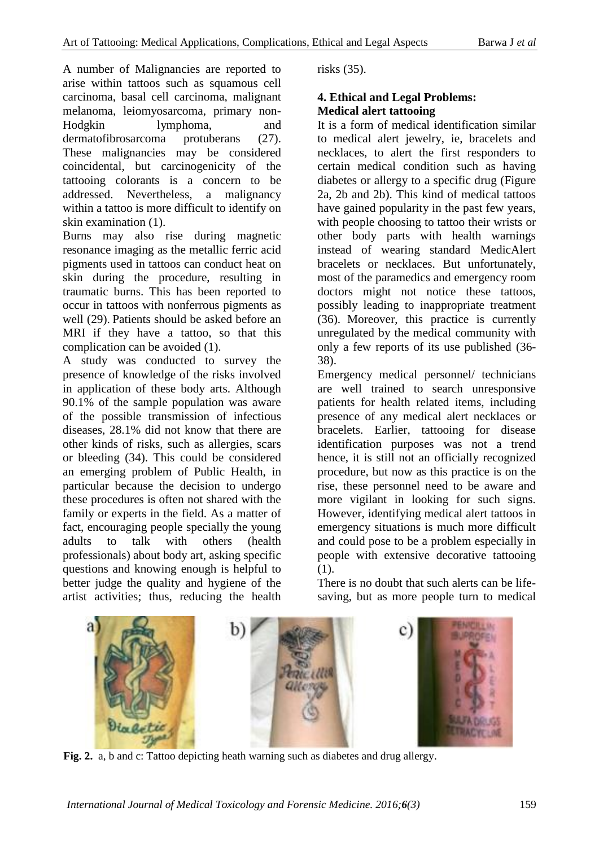A number of Malignancies are reported to arise within tattoos such as squamous cell carcinoma, basal cell carcinoma, malignant melanoma, leiomyosarcoma, primary non-Hodgkin lymphoma, and dermatofibrosarcoma protuberans (27). These malignancies may be considered coincidental, but carcinogenicity of the tattooing colorants is a concern to be addressed. Nevertheless, a malignancy within a tattoo is more difficult to identify on skin examination (1).

Burns may also rise during magnetic resonance imaging as the metallic ferric acid pigments used in tattoos can conduct heat on skin during the procedure, resulting in traumatic burns. This has been reported to occur in tattoos with nonferrous pigments as well (29). Patients should be asked before an MRI if they have a tattoo, so that this complication can be avoided (1).

A study was conducted to survey the presence of knowledge of the risks involved in application of these body arts. Although 90.1% of the sample population was aware of the possible transmission of infectious diseases, 28.1% did not know that there are other kinds of risks, such as allergies, scars or bleeding (34). This could be considered an emerging problem of Public Health, in particular because the decision to undergo these procedures is often not shared with the family or experts in the field. As a matter of fact, encouraging people specially the young adults to talk with others (health professionals) about body art, asking specific questions and knowing enough is helpful to better judge the quality and hygiene of the artist activities; thus, reducing the health risks (35).

# **4. Ethical and Legal Problems: Medical alert tattooing**

It is a form of medical identification similar to medical alert jewelry, ie, bracelets and necklaces, to alert the first responders to certain medical condition such as having diabetes or allergy to a specific drug (Figure 2a, 2b and 2b). This kind of medical tattoos have gained popularity in the past few years, with people choosing to tattoo their wrists or other body parts with health warnings instead of wearing standard MedicAlert bracelets or necklaces. But unfortunately, most of the paramedics and emergency room doctors might not notice these tattoos, possibly leading to inappropriate treatment (36). Moreover, this practice is currently unregulated by the medical community with only a few reports of its use published (36- 38).

Emergency medical personnel/ technicians are well trained to search unresponsive patients for health related items, including presence of any medical alert necklaces or bracelets. Earlier, tattooing for disease identification purposes was not a trend hence, it is still not an officially recognized procedure, but now as this practice is on the rise, these personnel need to be aware and more vigilant in looking for such signs. However, identifying medical alert tattoos in emergency situations is much more difficult and could pose to be a problem especially in people with extensive decorative tattooing (1).

There is no doubt that such alerts can be lifesaving, but as more people turn to medical



**Fig. 2.** a, b and c: Tattoo depicting heath warning such as diabetes and drug allergy.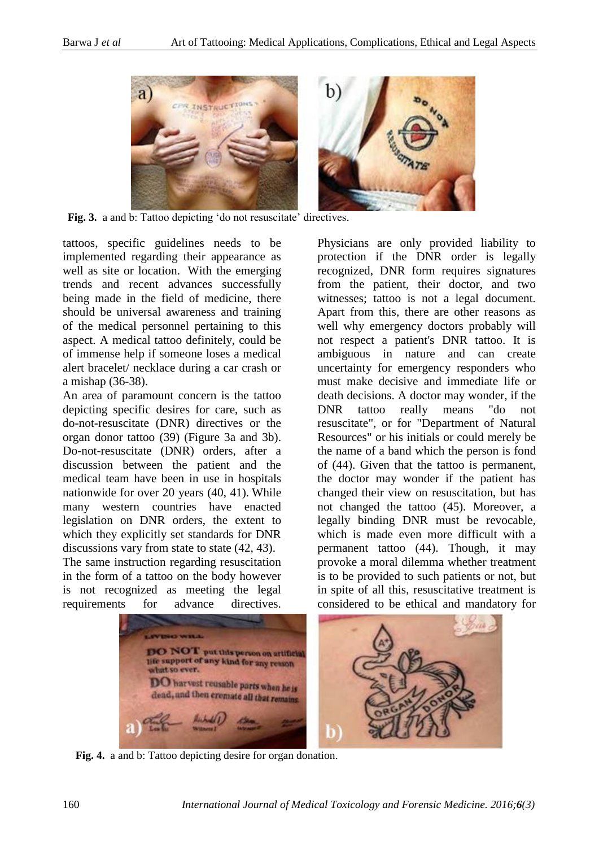

Fig. 3. a and b: Tattoo depicting 'do not resuscitate' directives.

tattoos, specific guidelines needs to be implemented regarding their appearance as well as site or location. With the emerging trends and recent advances successfully being made in the field of medicine, there should be universal awareness and training of the medical personnel pertaining to this aspect. A medical tattoo definitely, could be of immense help if someone loses a medical alert bracelet/ necklace during a car crash or a mishap (36-38).

An area of paramount concern is the tattoo depicting specific desires for care, such as do-not-resuscitate (DNR) directives or the organ donor tattoo (39) (Figure 3a and 3b). Do-not-resuscitate (DNR) orders, after a discussion between the patient and the medical team have been in use in hospitals nationwide for over 20 years (40, 41). While many western countries have enacted legislation on DNR orders, the extent to which they explicitly set standards for DNR discussions vary from state to state (42, 43).

The same instruction regarding resuscitation in the form of a tattoo on the body however is not recognized as meeting the legal requirements for advance directives.

Physicians are only provided liability to protection if the DNR order is legally recognized, DNR form requires signatures from the patient, their doctor, and two witnesses; tattoo is not a legal document. Apart from this, there are other reasons as well why emergency doctors probably will not respect a patient's DNR tattoo. It is ambiguous in nature and can create uncertainty for emergency responders who must make decisive and immediate life or death decisions. A doctor may wonder, if the DNR tattoo really means "do not resuscitate", or for "Department of Natural Resources" or his initials or could merely be the name of a band which the person is fond of (44). Given that the tattoo is permanent, the doctor may wonder if the patient has changed their view on resuscitation, but has not changed the tattoo (45). Moreover, a legally binding DNR must be revocable, which is made even more difficult with a permanent tattoo (44). Though, it may provoke a moral dilemma whether treatment is to be provided to such patients or not, but in spite of all this, resuscitative treatment is considered to be ethical and mandatory for



**Fig. 4.** a and b: Tattoo depicting desire for organ donation.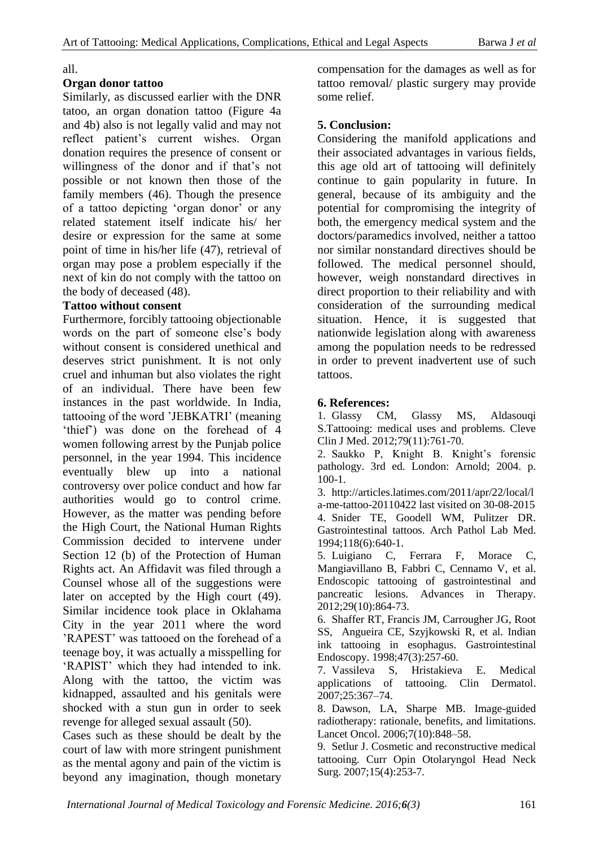#### all.

#### **Organ donor tattoo**

Similarly, as discussed earlier with the DNR tatoo, an organ donation tattoo (Figure 4a and 4b) also is not legally valid and may not reflect patient's current wishes. Organ donation requires the presence of consent or willingness of the donor and if that's not possible or not known then those of the family members (46). Though the presence of a tattoo depicting 'organ donor' or any related statement itself indicate his/ her desire or expression for the same at some point of time in his/her life (47), retrieval of organ may pose a problem especially if the next of kin do not comply with the tattoo on the body of deceased (48).

#### **Tattoo without consent**

Furthermore, forcibly tattooing objectionable words on the part of someone else's body without consent is considered unethical and deserves strict punishment. It is not only cruel and inhuman but also violates the right of an individual. There have been few instances in the past worldwide. In India, tattooing of the word 'JEBKATRI' (meaning 'thief') was done on the forehead of 4 women following arrest by the Punjab police personnel, in the year 1994. This incidence eventually blew up into a national controversy over police conduct and how far authorities would go to control crime. However, as the matter was pending before the High Court, the National Human Rights Commission decided to intervene under Section 12 (b) of the Protection of Human Rights act. An Affidavit was filed through a Counsel whose all of the suggestions were later on accepted by the High court (49). Similar incidence took place in Oklahama City in the year 2011 where the word 'RAPEST' was tattooed on the forehead of a teenage boy, it was actually a misspelling for 'RAPIST' which they had intended to ink. Along with the tattoo, the victim was kidnapped, assaulted and his genitals were shocked with a stun gun in order to seek revenge for alleged sexual assault (50).

Cases such as these should be dealt by the court of law with more stringent punishment as the mental agony and pain of the victim is beyond any imagination, though monetary compensation for the damages as well as for tattoo removal/ plastic surgery may provide some relief.

## **5. Conclusion:**

Considering the manifold applications and their associated advantages in various fields, this age old art of tattooing will definitely continue to gain popularity in future. In general, because of its ambiguity and the potential for compromising the integrity of both, the emergency medical system and the doctors/paramedics involved, neither a tattoo nor similar nonstandard directives should be followed. The medical personnel should, however, weigh nonstandard directives in direct proportion to their reliability and with consideration of the surrounding medical situation. Hence, it is suggested that nationwide legislation along with awareness among the population needs to be redressed in order to prevent inadvertent use of such tattoos.

#### **6. References:**

1. Glassy CM, Glassy MS, Aldasouqi S.Tattooing: medical uses and problems. Cleve Clin J Med. 2012;79(11):761-70.

2. Saukko P, Knight B. Knight's forensic pathology. 3rd ed. London: Arnold; 2004. p. 100-1.

3. http://articles.latimes.com/2011/apr/22/local/l a-me-tattoo-20110422 last visited on 30-08-2015 4. Snider TE, Goodell WM, Pulitzer DR. Gastrointestinal tattoos. Arch Pathol Lab Med. 1994;118(6):640-1.

5. Luigiano C, Ferrara F, Morace C, Mangiavillano B, Fabbri C, Cennamo V, et al. Endoscopic tattooing of gastrointestinal and pancreatic lesions. Advances in Therapy. 2012;29(10):864-73.

6. Shaffer RT, Francis JM, Carrougher JG, Root SS, Angueira CE, Szyjkowski R, et al. Indian ink tattooing in esophagus. Gastrointestinal Endoscopy. 1998;47(3):257-60.

7. Vassileva S, Hristakieva E. Medical applications of tattooing. Clin Dermatol. 2007;25:367–74.

8. Dawson, LA, Sharpe MB. Image-guided radiotherapy: rationale, benefits, and limitations. Lancet Oncol. 2006;7(10):848–58.

9. Setlur J. Cosmetic and reconstructive medical tattooing. Curr Opin Otolaryngol Head Neck Surg. 2007;15(4):253-7.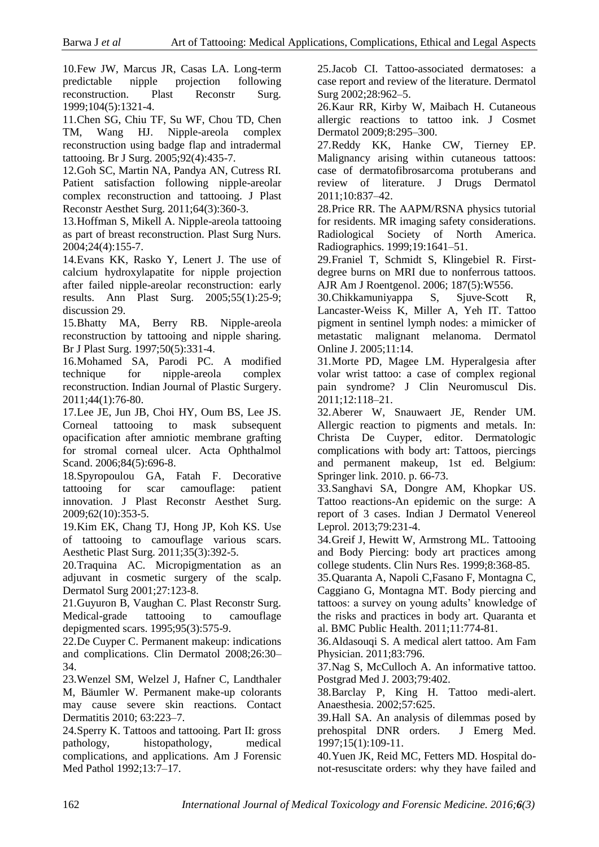10.Few JW, Marcus JR, Casas LA. Long-term predictable nipple projection following reconstruction. Plast Reconstr Surg. 1999;104(5):1321-4.

11.Chen SG, Chiu TF, Su WF, Chou TD, Chen TM, Wang HJ. Nipple-areola complex reconstruction using badge flap and intradermal tattooing. Br J Surg. 2005;92(4):435-7.

12.Goh SC, Martin NA, Pandya AN, Cutress RI. Patient satisfaction following nipple-areolar complex reconstruction and tattooing. J Plast Reconstr Aesthet Surg. 2011;64(3):360-3.

13.Hoffman S, Mikell A. Nipple-areola tattooing as part of breast reconstruction. Plast Surg Nurs. 2004;24(4):155-7.

14.Evans KK, Rasko Y, Lenert J. The use of calcium hydroxylapatite for nipple projection after failed nipple-areolar reconstruction: early results. Ann Plast Surg. 2005;55(1):25-9; discussion 29.

15.Bhatty MA, Berry RB. Nipple-areola reconstruction by tattooing and nipple sharing. Br J Plast Surg. 1997;50(5):331-4.

16.Mohamed SA, Parodi PC. A modified technique for nipple-areola complex reconstruction. Indian Journal of Plastic Surgery. 2011;44(1):76-80.

17.Lee JE, Jun JB, Choi HY, Oum BS, Lee JS. Corneal tattooing to mask subsequent opacification after amniotic membrane grafting for stromal corneal ulcer. Acta Ophthalmol Scand. 2006;84(5):696-8.

18.Spyropoulou GA, Fatah F. Decorative tattooing for scar camouflage: patient innovation. J Plast Reconstr Aesthet Surg. 2009;62(10):353-5.

19.Kim EK, Chang TJ, Hong JP, Koh KS. Use of tattooing to camouflage various scars. Aesthetic Plast Surg. 2011;35(3):392-5.

20.Traquina AC. Micropigmentation as an adjuvant in cosmetic surgery of the scalp. Dermatol Surg 2001;27:123-8.

21.Guyuron B, Vaughan C. Plast Reconstr Surg. Medical-grade tattooing to camouflage depigmented scars. 1995;95(3):575-9.

22.De Cuyper C. Permanent makeup: indications and complications. Clin Dermatol 2008;26:30– 34.

23.Wenzel SM, Welzel J, Hafner C, Landthaler M, Bäumler W. Permanent make-up colorants may cause severe skin reactions. Contact Dermatitis 2010; 63:223–7.

24.Sperry K. Tattoos and tattooing. Part II: gross pathology, histopathology, medical complications, and applications. Am J Forensic Med Pathol 1992;13:7–17.

25.Jacob CI. Tattoo-associated dermatoses: a case report and review of the literature. Dermatol Surg 2002;28:962–5.

26.Kaur RR, Kirby W, Maibach H. Cutaneous allergic reactions to tattoo ink. J Cosmet Dermatol 2009;8:295–300.

27.Reddy KK, Hanke CW, Tierney EP. Malignancy arising within cutaneous tattoos: case of dermatofibrosarcoma protuberans and review of literature. J Drugs Dermatol 2011;10:837–42.

28.Price RR. The AAPM/RSNA physics tutorial for residents. MR imaging safety considerations. Radiological Society of North America. Radiographics. 1999;19:1641–51.

29.Franiel T, Schmidt S, Klingebiel R. Firstdegree burns on MRI due to nonferrous tattoos. AJR Am J Roentgenol. 2006; 187(5):W556.

30.Chikkamuniyappa S, Sjuve-Scott R, Lancaster-Weiss K, Miller A, Yeh IT. Tattoo pigment in sentinel lymph nodes: a mimicker of metastatic malignant melanoma. Dermatol Online J. 2005;11:14.

31.Morte PD, Magee LM. Hyperalgesia after volar wrist tattoo: a case of complex regional pain syndrome? J Clin Neuromuscul Dis. 2011;12:118–21.

32.Aberer W, Snauwaert JE, Render UM. Allergic reaction to pigments and metals. In: Christa De Cuyper, editor. Dermatologic complications with body art: Tattoos, piercings and permanent makeup, 1st ed. Belgium: Springer link. 2010. p. 66-73.

33.Sanghavi SA, Dongre AM, Khopkar US. Tattoo reactions-An epidemic on the surge: A report of 3 cases. Indian J Dermatol Venereol Leprol. 2013;79:231-4.

34.Greif J, Hewitt W, Armstrong ML. Tattooing and Body Piercing: body art practices among college students. Clin Nurs Res. 1999;8:368-85.

35.Quaranta A, Napoli C,Fasano F, Montagna C, Caggiano G, Montagna MT. Body piercing and tattoos: a survey on young adults' knowledge of the risks and practices in body art. Quaranta et al. BMC Public Health. 2011;11:774-81.

36.Aldasouqi S. A medical alert tattoo. Am Fam Physician. 2011;83:796.

37.Nag S, McCulloch A. An informative tattoo. Postgrad Med J. 2003;79:402.

38.Barclay P, King H. Tattoo medi-alert. Anaesthesia. 2002;57:625.

39.Hall SA. An analysis of dilemmas posed by prehospital DNR orders. J Emerg Med. 1997;15(1):109-11.

40.Yuen JK, Reid MC, Fetters MD. Hospital donot-resuscitate orders: why they have failed and